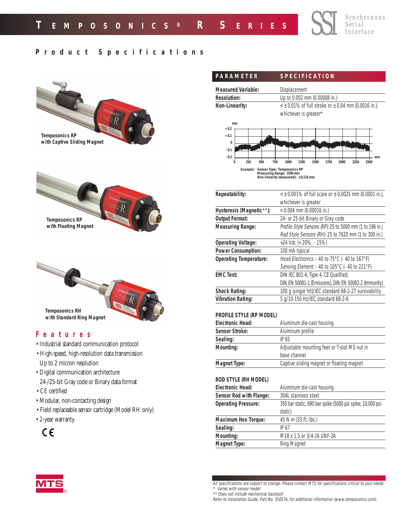## **Product Specifications**



| <b>Measured Variable:</b>                                                      |     |                              | Displacement |  |      |              |  |      |      |
|--------------------------------------------------------------------------------|-----|------------------------------|--------------|--|------|--------------|--|------|------|
| <b>Resolution:</b>                                                             |     | Up to 0.002 mm (0.00008 in.) |              |  |      |              |  |      |      |
| $\leq$ ± 0.01% of full stroke or $\pm$ 0.04 mm (0.0016 in.),<br>Non-Linearity: |     |                              |              |  |      |              |  |      |      |
|                                                                                |     | whichever is greater*        |              |  |      |              |  |      |      |
| mm                                                                             |     |                              |              |  |      |              |  |      |      |
| $+0.2$                                                                         |     |                              |              |  |      |              |  |      |      |
| $+0.1$                                                                         |     |                              |              |  |      |              |  |      |      |
| $\bf{0}$<br>$-0.1$                                                             |     |                              |              |  |      |              |  |      |      |
| $-0.2$                                                                         |     |                              |              |  |      |              |  |      | mm   |
| 250<br>0                                                                       | 500 | 750                          | 1000<br>1250 |  | 1500 | 1750<br>2000 |  | 2250 | 2500 |

SSI

Synchronous Serial Interface

| Repeatability:                | $\leq$ ± 0.001% of full scale or $\pm$ 0.0025 mm (0.0001 in.),        |
|-------------------------------|-----------------------------------------------------------------------|
|                               | whichever is greater                                                  |
| Hysteresis (Magnetic**):      | $< 0.004$ mm (0.00016 in.)                                            |
| <b>Output Format:</b>         | 24- or 25-bit Binary or Gray code                                     |
| <b>Measuring Range:</b>       | Profile Style Sensors (RP): 25 to 5000 mm (1 to 196 in.)              |
|                               | Rod Style Sensors (RH): 25 to 7620 mm (1 to 300 in.)                  |
| <b>Operating Voltage:</b>     | +24 Vdc (+ 20%, - 15%)                                                |
| <b>Power Consumption:</b>     | 100 mA typical                                                        |
| <b>Operating Temperature:</b> | Head Electronics: $-40$ to 75 $\degree$ C ( $-40$ to 167 $\degree$ F) |
|                               | Sensing Element: - 40 to 105°C (- 40 to 221°F)                        |
| <b>EMC Test:</b>              | DIN IEC 801-4, Type 4, CE Qualified;                                  |
|                               | DIN EN 50081-1 (Emissions), DIN EN 50082-2 (Immunity)                 |
| <b>Shock Rating:</b>          | 100 g (single hit)/IEC standard 68-2-27 survivability                 |
| <b>Vibration Rating:</b>      | 5 g/10-150 Hz/IEC standard 68-2-6                                     |
|                               |                                                                       |

## **PROFILE STYLE (RP MODEL)**

| <b>Electronic Head:</b>                                   | Aluminum die-cast housing                    |  |  |
|-----------------------------------------------------------|----------------------------------------------|--|--|
| <b>Sensor Stroke:</b>                                     | Aluminum profile                             |  |  |
| Sealing:                                                  | IP 65                                        |  |  |
| Mounting:                                                 | Adjustable mounting feet or T-slot M5 nut in |  |  |
|                                                           | base channel                                 |  |  |
| Captive sliding magnet or floating magnet<br>Magnet Type: |                                              |  |  |

### **ROD STYLE (RH MODEL)**

| <b>Electronic Head:</b>    | Aluminum die-cast housing                                 |  |  |
|----------------------------|-----------------------------------------------------------|--|--|
| Sensor Rod with Flange:    | 304L stainless steel                                      |  |  |
| <b>Operating Pressure:</b> | 350 bar static, 690 bar spike (5000 psi spike; 10,000 psi |  |  |
|                            | static)                                                   |  |  |
| <b>Maximum Hex Torque:</b> | 45 N-m (33 ft.-lbs.)                                      |  |  |
| Sealing:                   | IP 67                                                     |  |  |
| Mounting:                  | M18 x 1.5 or 3/4-16 UNF-3A                                |  |  |
| <b>Magnet Type:</b>        | Ring Magnet                                               |  |  |

All specifications are subject to change. Please contact MTS for specifications critical to your needs. \* Varies with sensor model

Refer to Installation Guide, Part No. 550574, for additional information (www.temposonics.com).



<sup>\*\*</sup> Does not include mechanical backlash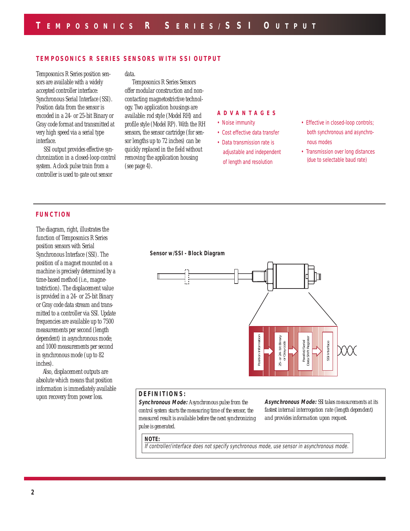## **TEMPOSONICS R SERIES SENSORS WITH SSI OUTPUT**

Temposonics R Series position sensors are available with a widely accepted controller interface: Synchronous Serial Interface (SSI). Position data from the sensor is encoded in a 24- or 25-bit Binary or Gray code format and transmitted at very high speed via a serial type interface.

SSI output provides effective synchronization in a closed-loop control system. A clock pulse train from a controller is used to gate out sensor

data.

Temposonics R Series Sensors offer modular construction and noncontacting magnetostrictive technology. Two application housings are available: rod style (Model RH) and profile style (Model RP). With the RH sensors, the sensor cartridge (for sensor lengths up to 72 inches) can be quickly replaced in the field without removing the application housing (see page 4).

### **ADV ANT AGES**

- Noise immunity
- Cost effective data transfer

• Data transmission rate is adjustable and independent of length and resolution

• Effective in closed-loop controls; both synchronous and asynchronous modes

• Transmission over long distances (due to selectable baud rate)

### **FUNCTION**

The diagram, right, illustrates the function of Temposonics R Series position sensors with Serial Synchronous Interface (SSI). The position of a magnet mounted on a machine is precisely determined by a time-based method (i.e., magnetostriction). The displacement value is provided in a 24- or 25-bit Binary or Gray code data stream and transmitted to a controller via SSI. Update frequencies are available up to 7500 measurements per second (length dependent) in asynchronous mode; and 1000 measurements per second in synchronous mode (up to 82 inches).

Also, displacement outputs are absolute which means that position information is immediately available upon recovery from power loss.

**Sensor w/SSI - Block Diagram**



## **DEFINITIONS:**

**Synchronous Mode:** *A synchronous pulse from the control system starts the measuring time of the sensor, the measured result is available before the next synchronizing pulse is generated.*

**Asynchronous Mode:** *SSI takes measurements at its fastest internal interrogation rate (length dependent) and provides information upon request.*

#### **NOTE:**

If controller/interface does not specify synchronous mode, use sensor in asynchronous mode.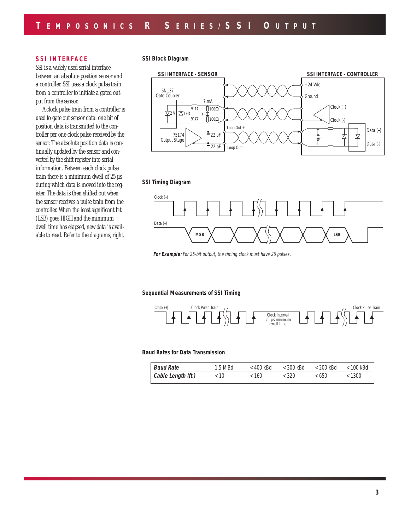## **SSI INTERFACE**

SSI is a widely used serial interface between an absolute position sensor and a controller. SSI uses a clock pulse train from a controller to initiate a gated output from the sensor.

A clock pulse train from a controller is used to gate out sensor data: one bit of position data is transmitted to the controller per one clock pulse received by the sensor. The absolute position data is continually updated by the sensor and converted by the shift register into serial information. Between each clock pulse train there is a minimum dwell of 25 µs during which data is moved into the register. The data is then shifted out when the sensor receives a pulse train from the controller. When the least significant bit (LSB) goes HIGH and the minimum dwell time has elapsed, new data is available to read. Refer to the diagrams, right.

**SSI Block Diagram**



#### **SSI Timing Diagram**



For Example: For 25-bit output, the timing clock must have 26 pulses.

**Sequential Measurements of SSI Timing**



#### **Baud Rates for Data Transmission**

| <b>Baud Rate</b>           | $1.5$ MBd | $<$ 400 kBd | $<$ 300 kBd | < 200 kBd | < 100 kBd |
|----------------------------|-----------|-------------|-------------|-----------|-----------|
| $\vert$ Cable Length (ft.) | ະ 10      | < 160       | < 320       | < 650     | < 1300    |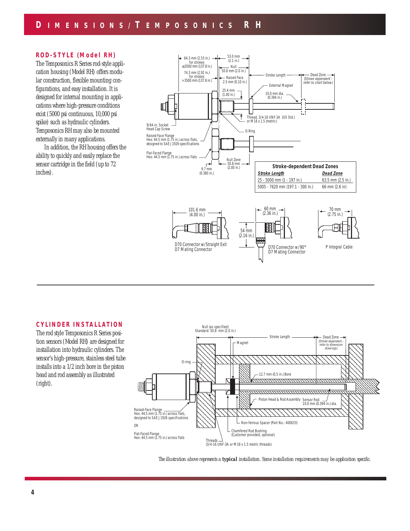### **ROD-STYLE (Model RH)**

The Temposonics R Series rod-style application housing (Model RH) offers modular construction, flexible mounting configurations, and easy installation. It is designed for internal mounting in applications where high-pressure conditions exist (5000 psi continuous, 10,000 psi spike) such as hydraulic cylinders. Temposonics RH may also be mounted externally in many applications.

In addition, the RH housing offers the ability to quickly and easily replace the sensor cartridge in the field (up to 72 inches).



## **CYLINDER INSTALLATION**

The rod style Temposonics R Series position sensors (Model RH) are designed for installation into hydraulic cylinders. The sensor's high-pressure, stainless steel tube installs into a 1/2 inch bore in the piston head and rod assembly as illustrated (right).



*The illustration above represents a typical installation. Some installation requirements may be application specific.*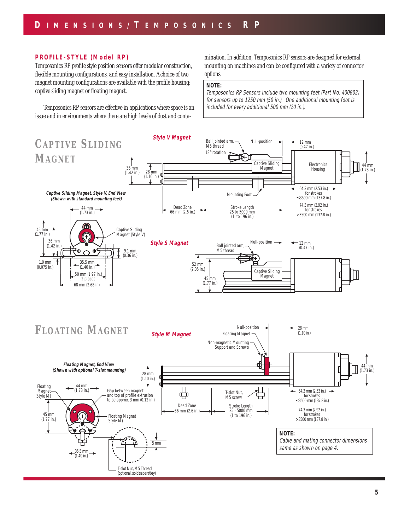### **PROFILE-STYLE (Model RP)**

Temposonics RP profile style position sensors offer modular construction, flexible mounting configurations, and easy installation. A choice of two magnet mounting configurations are available with the profile housing: captive sliding magnet or floating magnet.

Temposonics RP sensors are effective in applications where space is an issue and in environments where there are high levels of dust and contamination. In addition, Temposonics RP sensors are designed for external mounting on machines and can be configured with a variety of connector options.

### **NOTE:**

Temposonics RP Sensors include two mounting feet (Part No. 400802) for sensors up to 1250 mm (50 in.). One additional mounting foot is included for every additional 500 mm (20 in.).

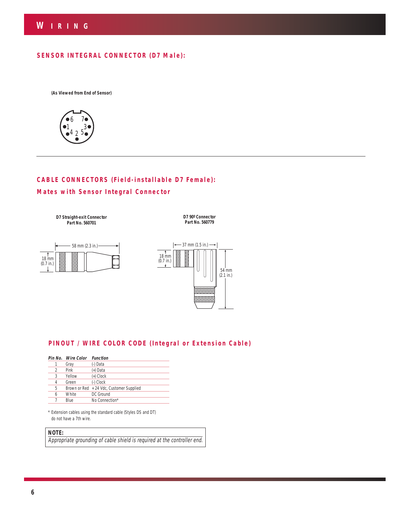## **SENSOR INTEGRAL CONNECTOR (D7 Male):**

**(As Viewed from End of Sensor)**



# **CABLE CONNECTORS (Field-installable D7 Female): Mates with Sensor Integral Connector**

**D7 Straight-exit Connector Part No. 560701**

 58 mm (2.3 in.)  $\frac{1}{18}$  mm (0.7 in.)



**D7 90º Connector Part No. 560779**

# **PINOUT / WIRE COLOR CODE (Integral or Extension Cable)**

|   | Pin No. Wire Color | <b>Function</b>                          |
|---|--------------------|------------------------------------------|
|   | Gray               | (-) Data                                 |
| 2 | Pink               | (+) Data                                 |
| 3 | Yellow             | (+) Clock                                |
| 4 | Green              | (-) Clock                                |
| 5 |                    | Brown or Red + 24 Vdc, Customer Supplied |
| 6 | White              | DC Ground                                |
|   | Blue               | No Connection*                           |

\* Extension cables using the standard cable (Styles DS and DT) do not have a 7th wire.

### **NOTE:**

Appropriate grounding of cable shield is required at the controller end.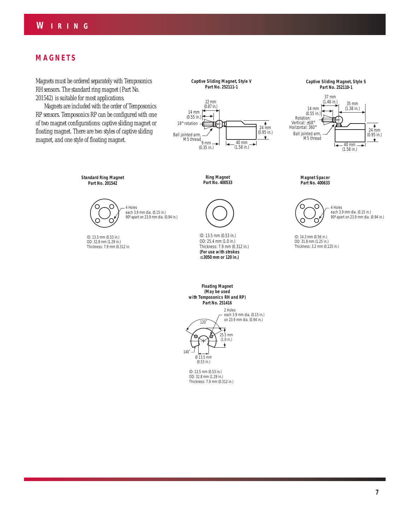## **MAGNETS**

Magnets must be ordered separately with Temposonics RH sensors. The standard ring magnet (Part No. 201542) is suitable for most applications.

Magnets are included with the order of Temposonics RP sensors. Temposonics RP can be configured with one of two magnet configurations: captive sliding magnet or floating magnet. There are two styles of captive sliding magnet, and one style of floating magnet.

**Captive Sliding Magnet, Style V Part No. 252111-1**





**Standard Ring Magnet Part No. 201542**



ID: 13.5 mm (0.53 in.) OD: 32.8 mm (1.29 in.) Thickness: 7.9 mm (0.312 in.

**Ring Magnet Part No. 400533**



ID: 13.5 mm (0.53 in.) OD: 25.4 mm (1.0 in.) Thickness: 7.9 mm (0.312 in.) **(For use with strokes** ≤ **3050 mm or 120 in.)**

**Floating Magnet (May be used with Temposonics RH and RP) Part No. 251416**



ID: 13.5 mm (0.53 in.) OD: 32.8 mm (1.29 in.) Thickness: 7.9 mm (0.312 in.) **Magnet Spacer Part No. 400633**



ID: 14.3 mm (0.56 in.) OD: 31.8 mm (1.25 in.) Thickness: 3.2 mm (0.125 in.)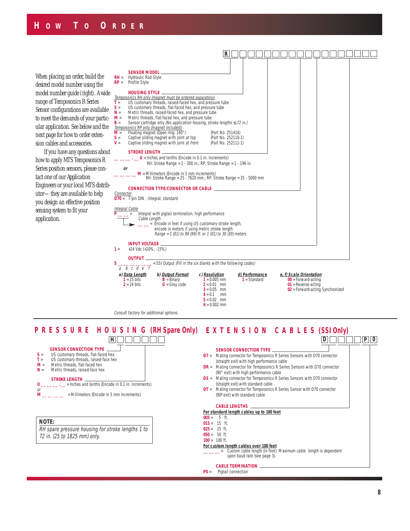When placing an order, build the desired model number using the model number guide (right). A wide range of Temposonics R Series Sensor configurations are available to meet the demands of your particular application. See below and the next page for how to order extension cables and accessories.

If you have any questions about how to apply MTS Temposonics R Series position sensors, please contact one of our Application Engineers or your local MTS distributor—they are available to help you design an effective position sensing system to fit your application.



**P R E S S U R E H O U S I N G (RH Spare Only) EXTENSION CABLES (SSI Only)**



#### **NOTE:**

RH spare pressure housing for stroke lengths 1 to 72 in. (25 to 1825 mm) only.

#### **SENSOR CONNECTION TYPE D7** = Mating connector for Temposonics R Series Sensors with D70 connector (straight exit) with high performance cable **DR** = Mating connector for Temposonics R Series Sensors with D70 connector (90° exit) with high performance cable **DS** = Mating connector for Temposonics R Series Sensors with D70 connector (straight exit) with standard cable **DT** = Mating connector for Temposonics R Series Sensor with D70 connector (90º exit) with standard cable **CABLE LENGTHS For standard length cables up to 100 feet**  $005 = 5$  ft. **015** = 15 ft.  $025 = 25$  ft.  $050 = 50 \text{ ft}$ **100** = 100 ft. **For custom length cables over 100 feet D P 0**

**\_ \_ =** Custom cable length (in feet). Maximum cable length is dependent upon baud rate (see page 3).

### **CABLE TERMINATION**

**P0** = Pigtail connection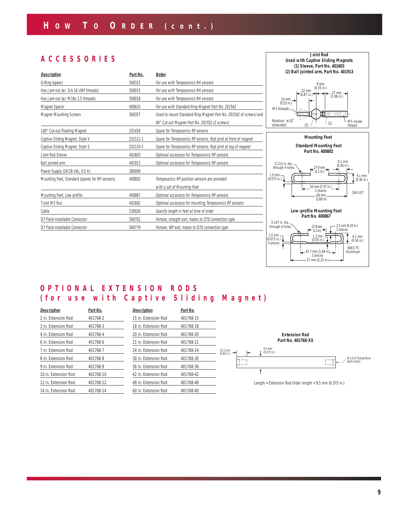# **ACCESSORIES**

| <b>Description</b>                              | Part No. | <b>Notes</b>                                                      |
|-------------------------------------------------|----------|-------------------------------------------------------------------|
| O-Ring (spare)                                  | 560315   | For use with Temposonics RH sensors                               |
| Hex Jam-nut (w/ 3/4-16 UNF threads)             | 500015   | For use with Temposonics RH sensors                               |
| Hex Jam-nut (w/ M18x 1.5 threads)               | 500018   | For use with Temposonics RH sensors                               |
| Magnet Spacer                                   | 400633   | For use with Standard Ring Magnet Part No. 201542                 |
| <b>Magnet Mounting Screws</b>                   | 560357   | Used to mount Standard Ring Magnet Part No. 201542 (4 screws) and |
|                                                 |          | 90° Cut-out Magnet Part No. 201552 (2 screws)                     |
| 140° Cut-out Floating Magnet                    | 251416   | Spare for Temposonics RP sensors                                  |
| Captive Sliding Magnet, Style V                 | 252111-1 | Spare for Temposonics RP sensors, Rod joint at front of magnet    |
| Captive Sliding Magnet, Style S                 | 252110-1 | Spare for Temposonics RP sensors, Rod joint at top of magnet      |
| Joint Rod Sleeve                                | 401603   | Optional accessory for Temposonics RP sensors                     |
| Ball jointed arm                                | 401913   | Optional accessory for Temposonics RP sensors                     |
| Power Supply (24/28 Vdc, 0.5 A)                 | 380009   |                                                                   |
| Mounting Feet, Standard (spares for RP sensors) | 400802   | Temposonics RP position sensors are provided                      |
|                                                 |          | with a set of Mounting Feet                                       |
| Mounting Feet, Low-profile                      | 400867   | Optional accessory for Temposonics RP sensors                     |
| T-slot M5 Nut                                   | 401602   | Optional accessory for mounting Temposonics RP sensors            |
| Cable                                           | 530026   | Specify length in feet at time of order                           |
| D7 Field-installable Connector                  | 560701   | Female, straight exit, mates to D70 connection type               |
| D7 Field-installable Connector                  | 560779   | Female, 90° exit, mates to D70 connection type                    |





# **OPTIONAL EXTENSION RODS (for use with Captive Sliding Magnet)**

| <b>Description</b>   | Part No.  | <b>Description</b> |
|----------------------|-----------|--------------------|
| 2 in. Extension Rod  | 401768-2  | 15 in. Exten       |
| 3 in. Extension Rod  | 401768-3  | 18 in. Exten       |
| 4 in. Extension Rod  | 401768-4  | 20 in. Exten       |
| 6 in. Extension Rod  | 401768-6  | 21 in. Exten       |
| 7 in. Extension Rod  | 401768-7  | 24 in. Exten       |
| 8 in. Extension Rod  | 401768-8  | 30 in. Exten       |
| 9 in. Extension Rod  | 401768-9  | 36 in. Exten       |
| 10 in. Extension Rod | 401768-10 | 42 in. Exten       |
| 12 in. Extension Rod | 401768-12 | 48 in. Exten       |
| 14 in. Extension Rod | 401768-14 | 60 in. Exten       |
|                      |           |                    |

| <b>Description</b>   | Part No.  |  |
|----------------------|-----------|--|
| 15 in. Extension Rod | 401768-15 |  |
| 18 in. Extension Rod | 401768-18 |  |
| 20 in. Extension Rod | 401768-20 |  |
| 21 in. Extension Rod | 401768-21 |  |
| 24 in. Extension Rod | 401768-24 |  |
| 30 in. Extension Rod | 401768-30 |  |
| 36 in. Extension Rod | 401768-36 |  |
| 42 in. Extension Rod | 401768-42 |  |
| 48 in. Extension Rod | 401768-48 |  |
| 60 in. Extension Rod | 401768-60 |  |



Length = Extension Rod Order length + 9.5 mm (0.375 in.)